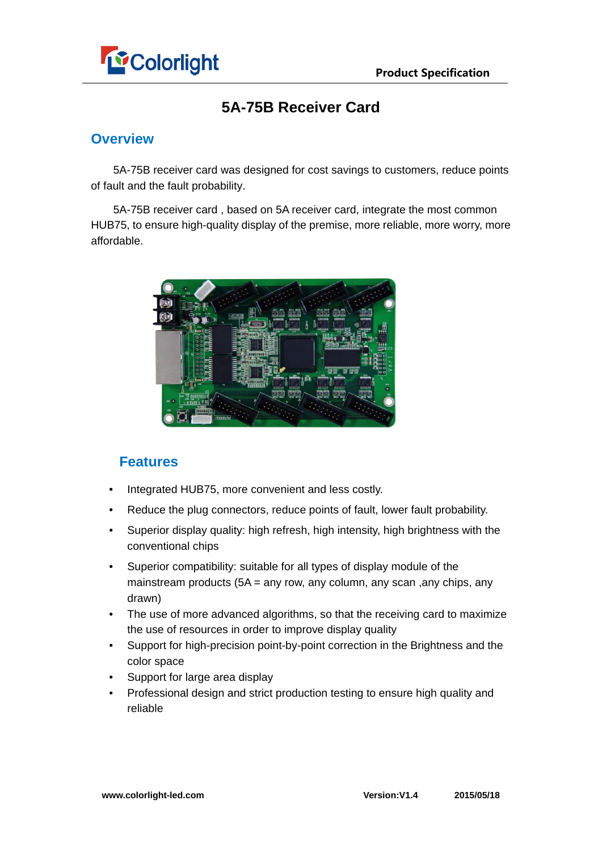

## **5A-75B Receiver Card**

### **Overview**

5A-75B receiver card was designed for cost savings to customers, reduce points of fault and the fault probability.

5A-75B receiver card , based on 5A receiver card, integrate the most common HUB75, to ensure high-quality display of the premise, more reliable, more worry, more affordable.



## **Features**

- Integrated HUB75, more convenient and less costly.
- Reduce the plug connectors, reduce points of fault, lower fault probability.
- Superior display quality: high refresh, high intensity, high brightness with the conventional chips
- Superior compatibility: suitable for all types of display module of the mainstream products (5A = any row, any column, any scan ,any chips, any drawn)
- The use of more advanced algorithms, so that the receiving card to maximize the use of resources in order to improve display quality
- Support for high-precision point-by-point correction in the Brightness and the color space
- Support for large area display
- Professional design and strict production testing to ensure high quality and reliable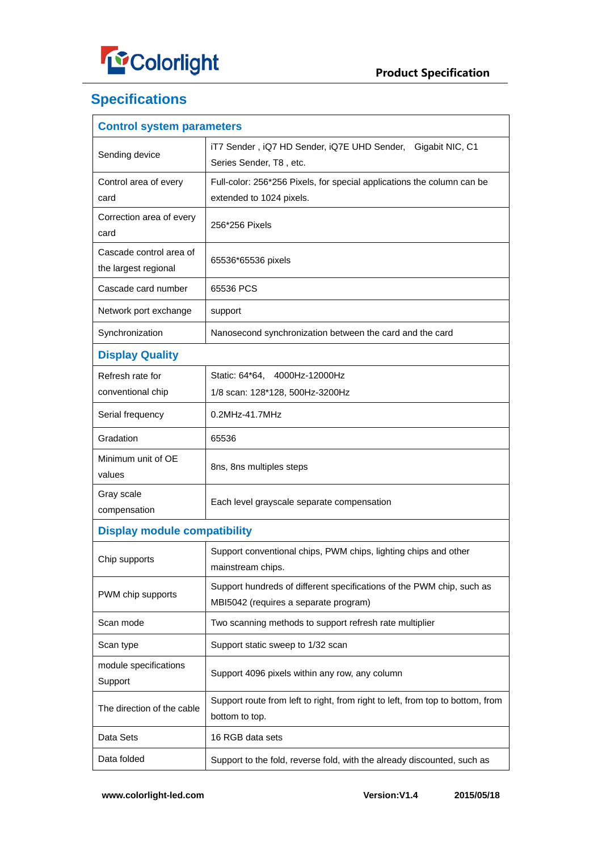

# **Specifications**

| <b>Control system parameters</b>                |                                                                                                                |  |  |  |  |  |
|-------------------------------------------------|----------------------------------------------------------------------------------------------------------------|--|--|--|--|--|
| Sending device                                  | iT7 Sender, iQ7 HD Sender, iQ7E UHD Sender,<br>Gigabit NIC, C1<br>Series Sender, T8, etc.                      |  |  |  |  |  |
| Control area of every                           | Full-color: 256*256 Pixels, for special applications the column can be                                         |  |  |  |  |  |
| card                                            | extended to 1024 pixels.                                                                                       |  |  |  |  |  |
| Correction area of every<br>card                | 256*256 Pixels                                                                                                 |  |  |  |  |  |
| Cascade control area of<br>the largest regional | 65536*65536 pixels                                                                                             |  |  |  |  |  |
| Cascade card number                             | 65536 PCS                                                                                                      |  |  |  |  |  |
| Network port exchange                           | support                                                                                                        |  |  |  |  |  |
| Synchronization                                 | Nanosecond synchronization between the card and the card                                                       |  |  |  |  |  |
| <b>Display Quality</b>                          |                                                                                                                |  |  |  |  |  |
| Refresh rate for                                | Static: 64*64. 4000Hz-12000Hz                                                                                  |  |  |  |  |  |
| conventional chip                               | 1/8 scan: 128*128, 500Hz-3200Hz                                                                                |  |  |  |  |  |
| Serial frequency                                | 0.2MHz-41.7MHz                                                                                                 |  |  |  |  |  |
| Gradation                                       | 65536                                                                                                          |  |  |  |  |  |
| Minimum unit of OE<br>values                    | 8ns, 8ns multiples steps                                                                                       |  |  |  |  |  |
| Gray scale<br>compensation                      | Each level grayscale separate compensation                                                                     |  |  |  |  |  |
| <b>Display module compatibility</b>             |                                                                                                                |  |  |  |  |  |
| Chip supports                                   | Support conventional chips, PWM chips, lighting chips and other<br>mainstream chips.                           |  |  |  |  |  |
| PWM chip supports                               | Support hundreds of different specifications of the PWM chip, such as<br>MBI5042 (requires a separate program) |  |  |  |  |  |
| Scan mode                                       | Two scanning methods to support refresh rate multiplier                                                        |  |  |  |  |  |
| Scan type                                       | Support static sweep to 1/32 scan                                                                              |  |  |  |  |  |
| module specifications<br>Support                | Support 4096 pixels within any row, any column                                                                 |  |  |  |  |  |
| The direction of the cable                      | Support route from left to right, from right to left, from top to bottom, from<br>bottom to top.               |  |  |  |  |  |
| Data Sets                                       | 16 RGB data sets                                                                                               |  |  |  |  |  |
| Data folded                                     | Support to the fold, reverse fold, with the already discounted, such as                                        |  |  |  |  |  |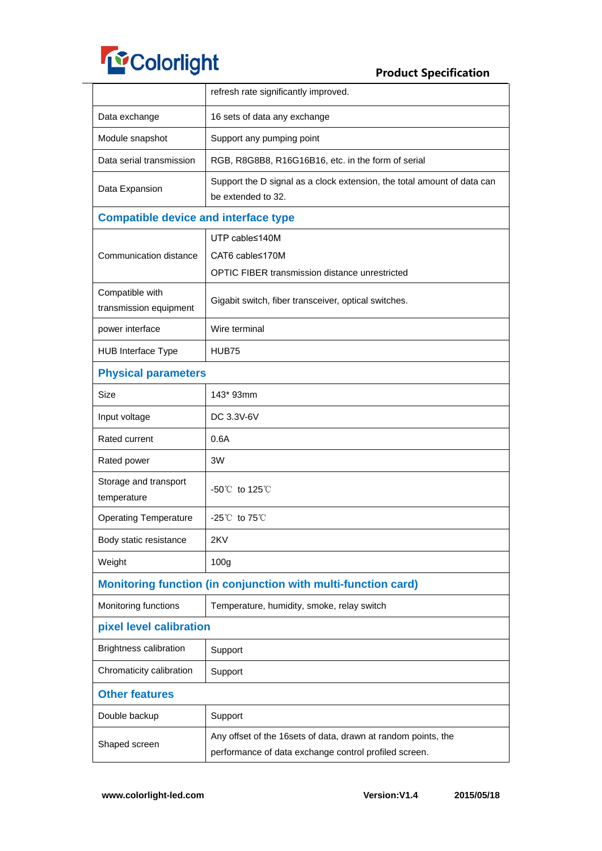

|                                                                                                                                         | refresh rate significantly improved.                                                          |  |  |  |  |  |
|-----------------------------------------------------------------------------------------------------------------------------------------|-----------------------------------------------------------------------------------------------|--|--|--|--|--|
| Data exchange                                                                                                                           | 16 sets of data any exchange                                                                  |  |  |  |  |  |
| Module snapshot                                                                                                                         | Support any pumping point                                                                     |  |  |  |  |  |
| Data serial transmission                                                                                                                | RGB, R8G8B8, R16G16B16, etc. in the form of serial                                            |  |  |  |  |  |
| Data Expansion                                                                                                                          | Support the D signal as a clock extension, the total amount of data can<br>be extended to 32. |  |  |  |  |  |
|                                                                                                                                         | <b>Compatible device and interface type</b>                                                   |  |  |  |  |  |
|                                                                                                                                         | UTP cable≤140M                                                                                |  |  |  |  |  |
| Communication distance                                                                                                                  | CAT6 cable≤170M                                                                               |  |  |  |  |  |
|                                                                                                                                         | OPTIC FIBER transmission distance unrestricted                                                |  |  |  |  |  |
| Compatible with<br>transmission equipment                                                                                               | Gigabit switch, fiber transceiver, optical switches.                                          |  |  |  |  |  |
| power interface                                                                                                                         | Wire terminal                                                                                 |  |  |  |  |  |
| HUB Interface Type                                                                                                                      | HUB75                                                                                         |  |  |  |  |  |
| <b>Physical parameters</b>                                                                                                              |                                                                                               |  |  |  |  |  |
| <b>Size</b>                                                                                                                             | 143* 93mm                                                                                     |  |  |  |  |  |
| Input voltage                                                                                                                           | DC 3.3V-6V                                                                                    |  |  |  |  |  |
| Rated current                                                                                                                           | 0.6A                                                                                          |  |  |  |  |  |
| Rated power                                                                                                                             | 3W                                                                                            |  |  |  |  |  |
| Storage and transport<br>temperature                                                                                                    | -50 $^{\circ}$ C to 125 $^{\circ}$ C                                                          |  |  |  |  |  |
| <b>Operating Temperature</b>                                                                                                            | $-25^{\circ}$ to 75 $^{\circ}$ C                                                              |  |  |  |  |  |
| Body static resistance                                                                                                                  | 2KV                                                                                           |  |  |  |  |  |
| Weight                                                                                                                                  | 100 <sub>g</sub>                                                                              |  |  |  |  |  |
|                                                                                                                                         | Monitoring function (in conjunction with multi-function card)                                 |  |  |  |  |  |
| Monitoring functions                                                                                                                    | Temperature, humidity, smoke, relay switch                                                    |  |  |  |  |  |
| pixel level calibration                                                                                                                 |                                                                                               |  |  |  |  |  |
| <b>Brightness calibration</b>                                                                                                           | Support                                                                                       |  |  |  |  |  |
| Chromaticity calibration                                                                                                                | Support                                                                                       |  |  |  |  |  |
| <b>Other features</b>                                                                                                                   |                                                                                               |  |  |  |  |  |
| Double backup                                                                                                                           | Support                                                                                       |  |  |  |  |  |
| Any offset of the 16sets of data, drawn at random points, the<br>Shaped screen<br>performance of data exchange control profiled screen. |                                                                                               |  |  |  |  |  |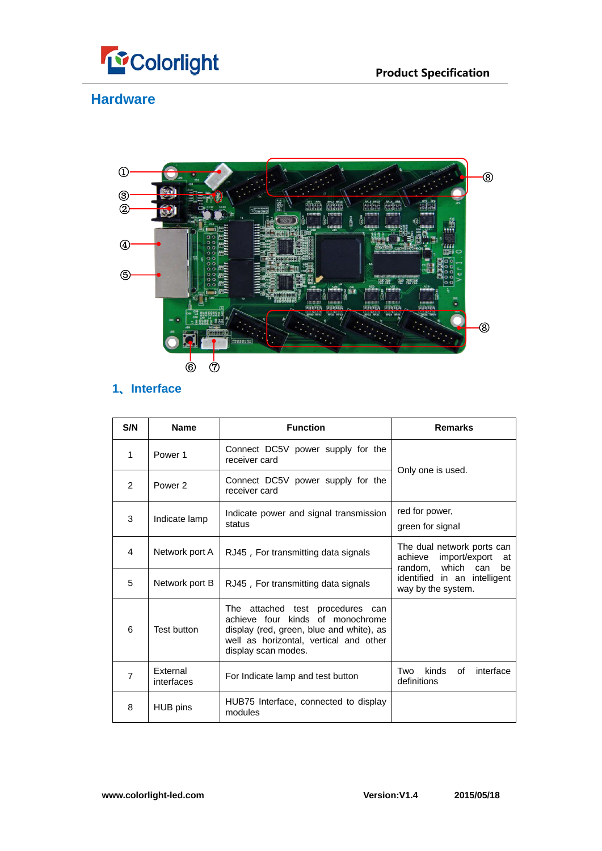



## **Hardware**



## **1、Interface**

| S/N            | <b>Name</b>            | <b>Function</b>                                                                                                                                                                   | <b>Remarks</b>                                                                          |  |  |
|----------------|------------------------|-----------------------------------------------------------------------------------------------------------------------------------------------------------------------------------|-----------------------------------------------------------------------------------------|--|--|
| 1              | Power <sub>1</sub>     | Connect DC5V power supply for the<br>receiver card                                                                                                                                |                                                                                         |  |  |
| $\mathfrak{p}$ | Power <sub>2</sub>     | Connect DC5V power supply for the<br>receiver card                                                                                                                                | Only one is used.                                                                       |  |  |
| 3              | Indicate lamp          | Indicate power and signal transmission<br>status                                                                                                                                  | red for power,<br>green for signal                                                      |  |  |
| $\overline{4}$ | Network port A         | RJ45, For transmitting data signals                                                                                                                                               | The dual network ports can<br>import/export<br>achieve<br>at<br>random, which can<br>be |  |  |
| 5              | Network port B         | RJ45, For transmitting data signals                                                                                                                                               | identified in an intelligent<br>way by the system.                                      |  |  |
| 6              | Test button            | The attached test procedures can<br>achieve four kinds of monochrome<br>display (red, green, blue and white), as<br>well as horizontal, vertical and other<br>display scan modes. |                                                                                         |  |  |
| $\overline{7}$ | External<br>interfaces | For Indicate lamp and test button                                                                                                                                                 | kinds<br>of<br>interface<br>Two<br>definitions                                          |  |  |
| 8              | HUB pins               | HUB75 Interface, connected to display<br>modules                                                                                                                                  |                                                                                         |  |  |